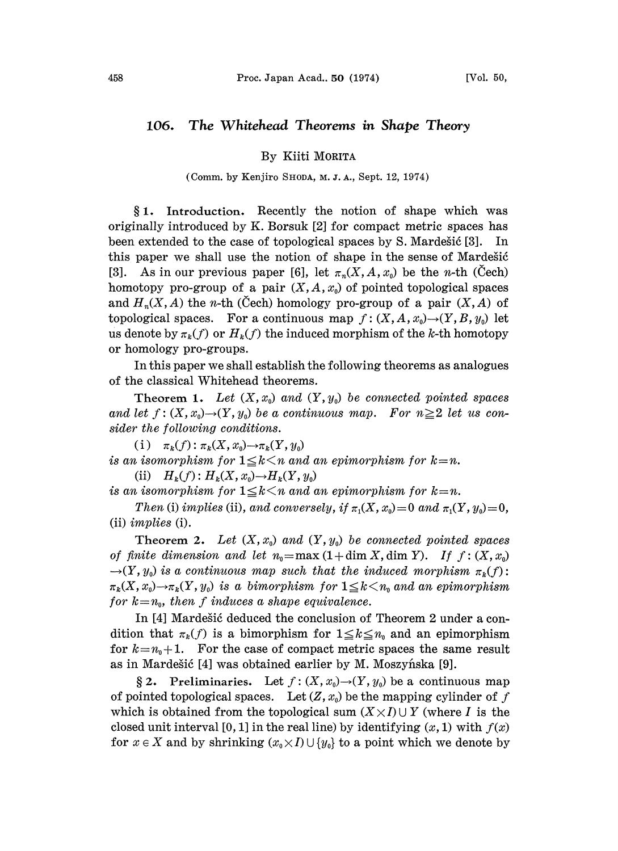# 106. The Whitehead Theorems in Shape Theory

## By Kiiti MORITA

### (Comm. by Kenjiro SHODA, M. J. h., Sept. 12, 1974)

§1. Introduction. Recently the notion of shape which was originally introduced by K. Borsuk  $[2]$  for compact metric spaces has been extended to the case of topological spaces by S. Mardešić [3]. In this paper we shall use the notion of shape in the sense of Mardešić [3]. As in our previous paper [6], let  $\pi_n(X,A, x_0)$  be the n-th (Cech) homotopy pro-group of a pair  $(X, A, x_0)$  of pointed topological spaces and  $H_n(X, A)$  the n-th (Cech) homology pro-group of a pair  $(X, A)$  of topological spaces. For a continuous map  $f: (X, A, x_0) \rightarrow (Y, B, y_0)$  let us denote by  $\pi_k(f)$  or  $H_k(f)$  the induced morphism of the k-th homotopy or homology pro-groups.

In this paper we shall establish the following theorems as analogues of the classical Whitehead theorems.

Theorem 1. Let  $(X, x_0)$  and  $(Y, y_0)$  be connected pointed spaces and let  $f: (X, x_0) \rightarrow (Y, y_0)$  be a continuous map. For  $n \geq 2$  let us consider the following conditions.

(i)  $\pi_k(f)$ :  $\pi_k(X, x_0) \rightarrow \pi_k(Y, y_0)$ is an isomorphism for  $1 \leq k \leq n$  and an epimorphism for  $k=n$ . (ii)  $H_k(f)$ :  $H_k(X, x_0) \to H_k(Y, y_0)$ 

is an isomorphism for  $1 \leq k \leq n$  and an epimorphism for  $k=n$ .

Then (i) implies (ii), and conversely, if  $\pi_1(X, x_0) = 0$  and  $\pi_1(Y, y_0) = 0$ , (ii) implies (i).

Theorem 2. Let  $(X, x_0)$  and  $(Y, y_0)$  be connected pointed spaces of finite dimension and let  $n_0 = \max(1+\dim X, \dim Y)$ . If  $f: (X, x_0)$  $\rightarrow$ (Y, y<sub>0</sub>) is a continuous map such that the induced morphism  $\pi_k(f)$ :  $\pi_k(X, x_0) \rightarrow \pi_k(Y, y_0)$  is a bimorphism for  $1 \leq k \leq n_0$  and an epimorphism for  $k=n_0$ , then f induces a shape equivalence.

In [4] Mardešić deduced the conclusion of Theorem 2 under a condition that  $\pi_k(f)$  is a bimorphism for  $1 \leq k \leq n_0$  and an epimorphism for  $k=n_0+1$ . For the case of compact metric spaces the same result as in Mardešić [4] was obtained earlier by M. Moszyńska [9].

§ 2. Preliminaries. Let  $f: (X, x_0) \rightarrow (Y, y_0)$  be a continuous map of pointed topological spaces. Let  $(Z, x_0)$  be the mapping cylinder of f which is obtained from the topological sum  $(X \times I) \cup Y$  (where I is the closed unit interval [0, 1] in the real line) by identifying  $(x, 1)$  with  $f(x)$ for  $x \in X$  and by shrinking  $(x_0 \times I) \cup \{y_0\}$  to a point which we denote by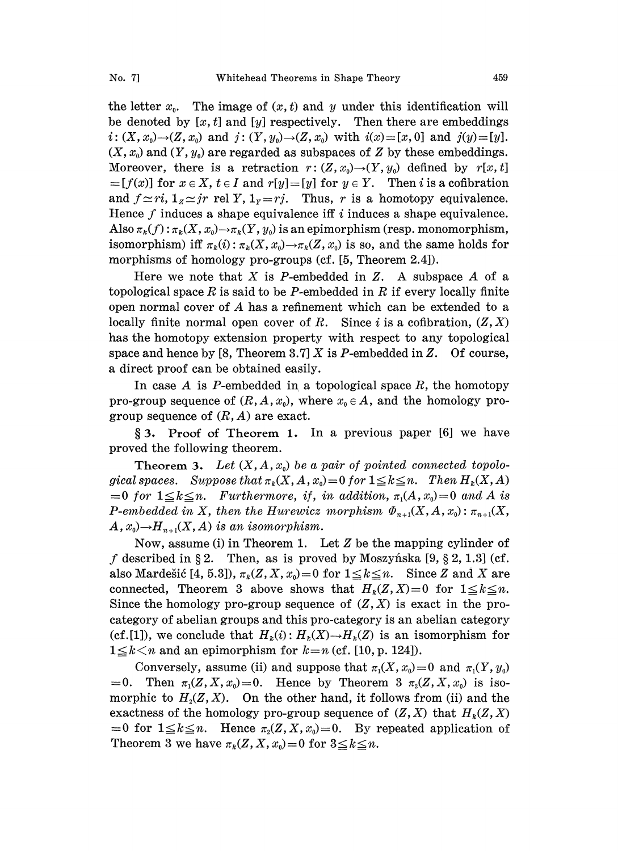the letter  $x_0$ . The image of  $(x, t)$  and y under this identification will be denoted by  $[x, t]$  and  $[y]$  respectively. Then there are embeddings  $i: (X, x_0) \rightarrow (Z, x_0)$  and  $j: (Y, y_0) \rightarrow (Z, x_0)$  with  $i(x) = [x, 0]$  and  $j(y) = [y]$ .  $(X, x_0)$  and  $(Y, y_0)$  are regarded as subspaces of Z by these embeddings. Moreover, there is a retraction  $r: (Z, x_0) \rightarrow (Y, y_0)$  defined by  $r[x, t]$  $=[f(x)]$  for  $x \in X$ ,  $t \in I$  and  $r[y]=[y]$  for  $y \in Y$ . Then i is a cofibration and  $f\text{=}ri$ ,  $1_z\text{=}ir$  rel Y,  $1_y=ri$ . Thus, r is a homotopy equivalence. Hence  $f$  induces a shape equivalence iff i induces a shape equivalence. Also  $\pi_k(f)$ :  $\pi_k(X, x_0) \rightarrow \pi_k(Y, y_0)$  is an epimorphism (resp. monomorphism, isomorphism) iff  $\pi_k(i): \pi_k(X, x_0) \to \pi_k(Z, x_0)$  is so, and the same holds for morphisms of homology pro-groups (cf. [5, Theorem 2.4]).

Here we note that X is P-embedded in Z. A subspace A of a topological space  $R$  is said to be P-embedded in  $R$  if every locally finite open normal cover of  $A$  has a refinement which can be extended to a locally finite normal open cover of R. Since i is a cofibration,  $(Z, X)$ has the homotopy extension property with respect to any topological space and hence by [8, Theorem 3.7]  $X$  is P-embedded in  $Z$ . Of course, a direct proof can be obtained easily.

In case A is P-embedded in a topological space  $R$ , the homotopy pro-group sequence of  $(R, A, x_0)$ , where  $x_0 \in A$ , and the homology progroup sequence of  $(R, A)$  are exact.

§3. Proof of Theorem 1. In a previous paper [6] we have proved the following theorem.

Theorem 3. Let  $(X, A, x_0)$  be a pair of pointed connected topological spaces. Suppose that  $\pi_k(X,A, x_0)=0$  for  $1\leq k\leq n$ . Then  $H_k(X,A)$  $=0$  for  $1 \leq k \leq n$ . Furthermore, if, in addition,  $\pi_1(A, x_0) = 0$  and A is P-embedded in X, then the Hurewicz morphism  $\Phi_{n+1}(X,A,x_0): \pi_{n+1}(X,A)$  $A, x_0 \rightarrow H_{n+1}(X, A)$  is an isomorphism.

Now, assume (i) in Theorem 1. Let  $Z$  be the mapping cylinder of f described in §2. Then, as is proved by Moszyńska [9, § 2, 1.3] (cf. also Mardešić [4, 5.3]),  $\pi_k(Z, X, x_0) = 0$  for  $1 \leq k \leq n$ . Since Z and X are connected, Theorem 3 above shows that  $H_k(Z,X)=0$  for  $1\leq k\leq n$ . Since the homology pro-group sequence of  $(Z, X)$  is exact in the procategory of abelian groups and this pro-category is an abelian category (cf.[1]), we conclude that  $H_k(i): H_k(X) \to H_k(Z)$  is an isomorphism for  $1 \leq k \leq n$  and an epimorphism for  $k=n$  (cf. [10, p. 124]).

Conversely, assume (ii) and suppose that  $\pi_1(X, x_0)=0$  and  $\pi_1(Y, y_0)$  $=0$ . Then  $\pi_1(Z, X, x_0)=0$ . Hence by Theorem 3  $\pi_2(Z, X, x_0)$  is isomorphic to  $H_2(Z, X)$ . On the other hand, it follows from (ii) and the exactness of the homology pro-group sequence of  $(Z, X)$  that  $H_k(Z, X)$  $=0$  for  $1 \leq k \leq n$ . Hence  $\pi_2(Z, X, x_0) = 0$ . By repeated application of Theorem 3 we have  $\pi_k(Z,X,x_0)=0$  for  $3 \le k \le n$ .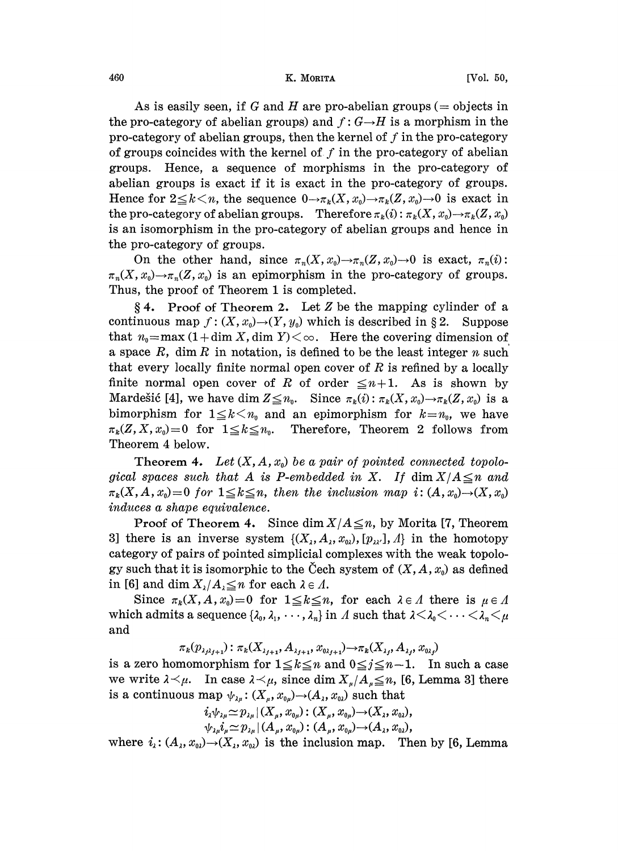#### 460 **K. MORITA** [Vol. 50,

As is easily seen, if G and H are pro-abelian groups ( $=$  objects in the pro-category of abelian groups) and  $f: G \rightarrow H$  is a morphism in the pro-category of abelian groups, then the kernel of  $f$  in the pro-category of groups coincides with the kernel of  $f$  in the pro-category of abelian groups. Hence, a sequence of morphisms in the pro-category of abelian groups is exact if it is exact in the pro-category of groups. Hence for  $2 \leq k \leq n$ , the sequence  $0 \to \pi_k(X, x_0) \to \pi_k(Z, x_0) \to 0$  is exact in the pro-category of abelian groups. Therefore  $\pi_k(i) : \pi_k(X, x_0) \to \pi_k(Z, x_0)$ is an isomorphism in the pro-category of abelian groups and hence in the pro-category of groups.

On the other hand, since  $\pi_n(X, x_0) \to \pi_n(Z, x_0) \to 0$  is exact,  $\pi_n(i)$ :  $\pi_n(X, x_0) \to \pi_n(Z, x_0)$  is an epimorphism in the pro-category of groups. Thus, the proof of Theorem 1 is completed.

 $§ 4.$  Proof of Theorem 2. Let Z be the mapping cylinder of a continuous map  $f: (X, x_0) \rightarrow (Y, y_0)$  which is described in § 2. Suppose that  $n_0 = \max(1 + \dim X, \dim Y) < \infty$ . Here the covering dimension of a space  $R$ , dim  $R$  in notation, is defined to be the least integer  $n$  such that every locally finite normal open cover of  $R$  is refined by a locally finite normal open cover of R of order  $\leq n+1$ . As is shown by Mardešić [4], we have dim  $Z \leq n_0$ . Since  $\pi_k(i): \pi_k(X, x_0) \to \pi_k(Z, x_0)$  is a bimorphism for  $1 \leq k \leq n_0$  and an epimorphism for  $k=n_0$ , we have  $\pi_k(Z, X, x_0)=0$  for  $1 \leq k \leq n_0$ . Therefore, Theorem 2 follows from Theorem 4 below.

Theorem 4. Let  $(X, A, x_0)$  be a pair of pointed connected topological spaces such that A is P-embedded in X. If  $\dim X/A \leq n$  and  $\pi_k(X,A,x_0)=0$  for  $1\leq k\leq n$ , then the inclusion map  $i:(A, x_0)\rightarrow(X, x_0)$ induces a shape equivalence.

Proof of Theorem 4. Since dim  $X/A \leq n$ , by Morita [7, Theorem 3] there is an inverse system  $\{(X_{\lambda}, A_{\lambda}, x_{\omega}), [p_{\lambda}, A_{\lambda}] \}$  in the homotopy category of pairs of pointed simplicial complexes with the weak topology such that it is isomorphic to the Čech system of  $(X, A, x_0)$  as defined in [6] and dim  $X_{\lambda}/A_{\lambda} \leq n$  for each  $\lambda \in \Lambda$ .

Since  $\pi_k(X,A, x_0)=0$  for  $1 \leq k \leq n$ , for each  $\lambda \in A$  there is  $\mu \in A$ which admits a sequence  $\{\lambda_0, \lambda_1, \dots, \lambda_n\}$  in  $\Lambda$  such that  $\lambda < \lambda_0 < \lambda_0$ and

 $\pi_k(p_{\lambda_j\lambda_{j+1}}): \pi_k(X_{\lambda_{j+1}}, A_{\lambda_{j+1}}, x_{0\lambda_{j+1}}) \rightarrow \pi_k(X_{\lambda_j}, A_{\lambda_j}, x_{0\lambda_j})$ 

is a zero homomorphism for  $1 \leq k \leq n$  and  $0 \leq j \leq n-1$ . In such a case we write  $\lambda \leq \mu$ . In case  $\lambda \leq \mu$ , since dim  $X_{\mu}/A_{\mu} \leq n$ , [6, Lemma 3] there is a continuous map  $\psi_{\lambda\mu} : (X_{\mu}, x_{0\mu}) \rightarrow (A_{\lambda}, x_{0\lambda})$  such that

is a continuous map 
$$
\psi_{\lambda\mu}: (X_{\mu}, x_{0\mu}) \to (A_{\lambda}, x_{0\lambda})
$$
 such that  
\n
$$
i_{\lambda}\psi_{\lambda\mu} \simeq p_{\lambda\mu} | (X_{\mu}, x_{0\mu}) : (X_{\mu}, x_{0\mu}) \to (X_{\lambda}, x_{0\lambda}),
$$
\n
$$
\psi_{\lambda\mu} i_{\mu} \simeq p_{\lambda\mu} | (A_{\mu}, x_{0\mu}) : (A_{\mu}, x_{0\mu}) \to (A_{\lambda}, x_{0\lambda}),
$$
\nwhere  $i_{\lambda}: (A_{\lambda}, x_{0\lambda}) \to (X_{\lambda}, x_{0\lambda})$  is the inclusion map. Then by [6, Lemma